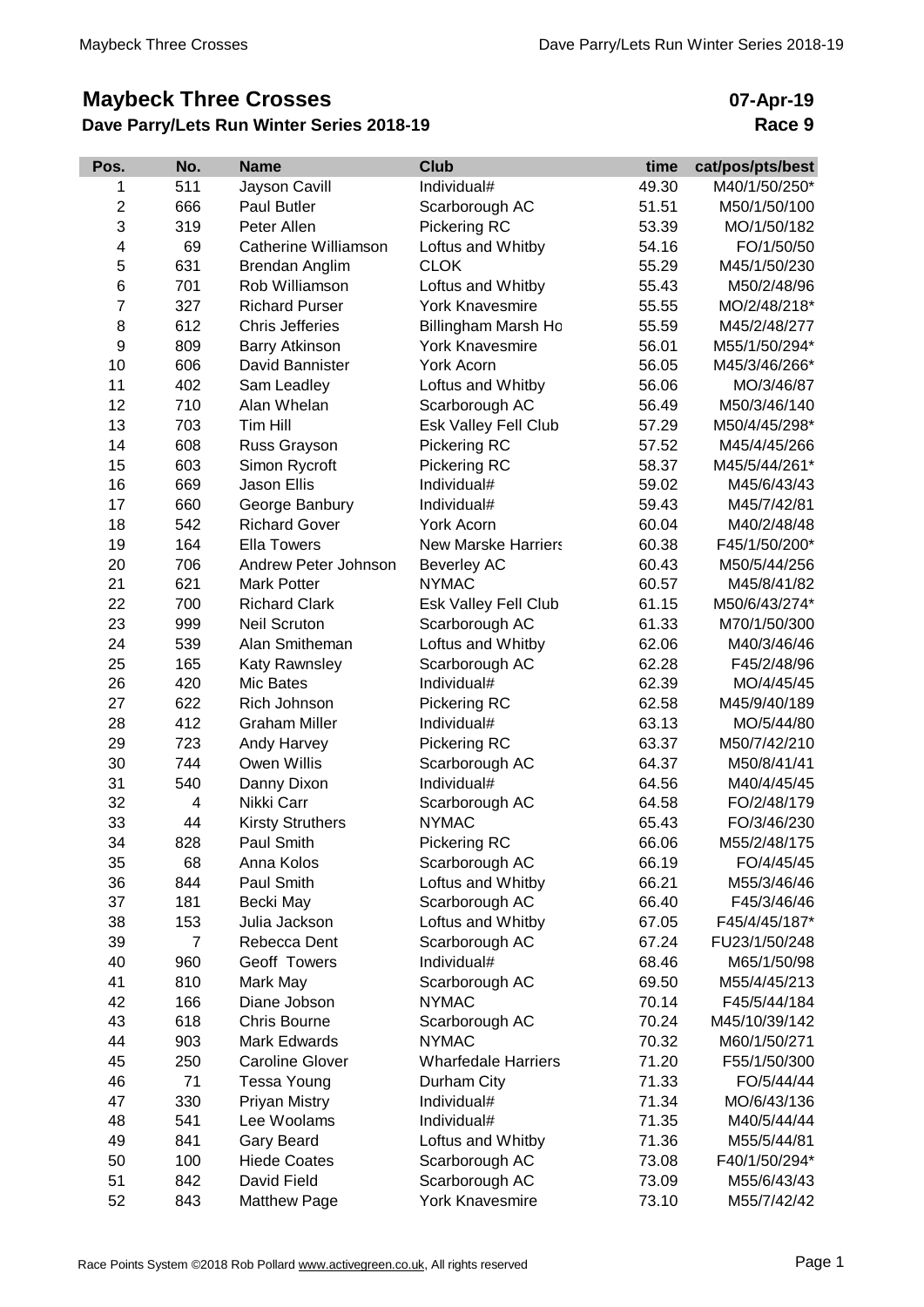## **Maybeck Three Crosses**

## **Dave Parry/Lets Run Winter Series 2018-19**

## **07-Apr-19 Race 9**

| Pos.           | No.            | <b>Name</b>             | <b>Club</b>                | time  | cat/pos/pts/best |
|----------------|----------------|-------------------------|----------------------------|-------|------------------|
| 1              | 511            | <b>Jayson Cavill</b>    | Individual#                | 49.30 | M40/1/50/250*    |
| $\overline{c}$ | 666            | Paul Butler             | Scarborough AC             | 51.51 | M50/1/50/100     |
| 3              | 319            | Peter Allen             | Pickering RC               | 53.39 | MO/1/50/182      |
| 4              | 69             | Catherine Williamson    | Loftus and Whitby          | 54.16 | FO/1/50/50       |
| 5              | 631            | Brendan Anglim          | <b>CLOK</b>                | 55.29 | M45/1/50/230     |
| 6              | 701            | Rob Williamson          | Loftus and Whitby          | 55.43 | M50/2/48/96      |
| 7              | 327            | <b>Richard Purser</b>   | <b>York Knavesmire</b>     | 55.55 | MO/2/48/218*     |
| 8              | 612            | <b>Chris Jefferies</b>  | Billingham Marsh Ho        | 55.59 | M45/2/48/277     |
| 9              | 809            | <b>Barry Atkinson</b>   | <b>York Knavesmire</b>     | 56.01 | M55/1/50/294*    |
| 10             | 606            | David Bannister         | York Acorn                 | 56.05 | M45/3/46/266*    |
| 11             | 402            | Sam Leadley             | Loftus and Whitby          | 56.06 | MO/3/46/87       |
| 12             | 710            | Alan Whelan             | Scarborough AC             | 56.49 | M50/3/46/140     |
| 13             | 703            | Tim Hill                | Esk Valley Fell Club       | 57.29 | M50/4/45/298*    |
| 14             | 608            | Russ Grayson            | Pickering RC               | 57.52 | M45/4/45/266     |
| 15             | 603            | Simon Rycroft           | Pickering RC               | 58.37 | M45/5/44/261*    |
| 16             | 669            | <b>Jason Ellis</b>      | Individual#                | 59.02 | M45/6/43/43      |
| 17             | 660            | George Banbury          | Individual#                | 59.43 | M45/7/42/81      |
| 18             | 542            | <b>Richard Gover</b>    | York Acorn                 | 60.04 | M40/2/48/48      |
| 19             | 164            | <b>Ella Towers</b>      | <b>New Marske Harriers</b> | 60.38 | F45/1/50/200*    |
| 20             | 706            | Andrew Peter Johnson    | <b>Beverley AC</b>         | 60.43 | M50/5/44/256     |
| 21             | 621            | <b>Mark Potter</b>      | <b>NYMAC</b>               | 60.57 | M45/8/41/82      |
| 22             | 700            | <b>Richard Clark</b>    | Esk Valley Fell Club       | 61.15 | M50/6/43/274*    |
| 23             | 999            | <b>Neil Scruton</b>     | Scarborough AC             | 61.33 | M70/1/50/300     |
| 24             | 539            | Alan Smitheman          | Loftus and Whitby          | 62.06 | M40/3/46/46      |
| 25             | 165            | Katy Rawnsley           | Scarborough AC             | 62.28 | F45/2/48/96      |
| 26             | 420            | Mic Bates               | Individual#                | 62.39 | MO/4/45/45       |
| 27             | 622            | Rich Johnson            | Pickering RC               | 62.58 | M45/9/40/189     |
| 28             | 412            | <b>Graham Miller</b>    | Individual#                | 63.13 | MO/5/44/80       |
| 29             | 723            | Andy Harvey             | Pickering RC               | 63.37 | M50/7/42/210     |
| 30             | 744            | Owen Willis             | Scarborough AC             | 64.37 | M50/8/41/41      |
| 31             | 540            | Danny Dixon             | Individual#                | 64.56 | M40/4/45/45      |
| 32             | 4              | Nikki Carr              | Scarborough AC             | 64.58 | FO/2/48/179      |
| 33             | 44             | <b>Kirsty Struthers</b> | <b>NYMAC</b>               | 65.43 | FO/3/46/230      |
| 34             | 828            | Paul Smith              | Pickering RC               | 66.06 | M55/2/48/175     |
| 35             | 68             | Anna Kolos              | Scarborough AC             | 66.19 | FO/4/45/45       |
| 36             | 844            | Paul Smith              | Loftus and Whitby          | 66.21 | M55/3/46/46      |
| 37             | 181            | Becki May               | Scarborough AC             | 66.40 | F45/3/46/46      |
| 38             | 153            | Julia Jackson           | Loftus and Whitby          | 67.05 | F45/4/45/187*    |
| 39             | $\overline{7}$ | Rebecca Dent            | Scarborough AC             | 67.24 | FU23/1/50/248    |
| 40             | 960            | Geoff Towers            | Individual#                | 68.46 | M65/1/50/98      |
| 41             | 810            | Mark May                | Scarborough AC             | 69.50 | M55/4/45/213     |
| 42             | 166            | Diane Jobson            | <b>NYMAC</b>               | 70.14 | F45/5/44/184     |
| 43             | 618            | Chris Bourne            | Scarborough AC             | 70.24 | M45/10/39/142    |
| 44             | 903            | Mark Edwards            | <b>NYMAC</b>               | 70.32 | M60/1/50/271     |
| 45             | 250            | <b>Caroline Glover</b>  | <b>Wharfedale Harriers</b> | 71.20 | F55/1/50/300     |
| 46             | 71             | <b>Tessa Young</b>      | Durham City                | 71.33 | FO/5/44/44       |
| 47             | 330            | Priyan Mistry           | Individual#                | 71.34 | MO/6/43/136      |
| 48             | 541            | Lee Woolams             | Individual#                | 71.35 | M40/5/44/44      |
| 49             | 841            | <b>Gary Beard</b>       | Loftus and Whitby          | 71.36 | M55/5/44/81      |
| 50             | 100            | <b>Hiede Coates</b>     | Scarborough AC             | 73.08 | F40/1/50/294*    |
| 51             | 842            | David Field             | Scarborough AC             | 73.09 | M55/6/43/43      |
| 52             | 843            | <b>Matthew Page</b>     | York Knavesmire            | 73.10 | M55/7/42/42      |